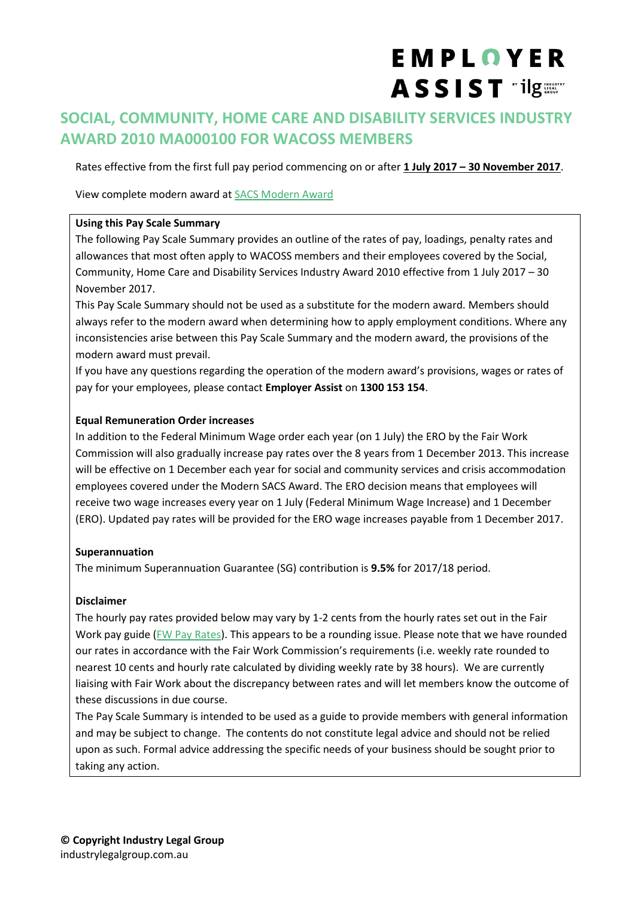# EMPLOYER ASSIST "ilg

# **SOCIAL, COMMUNITY, HOME CARE AND DISABILITY SERVICES INDUSTRY AWARD 2010 MA000100 FOR WACOSS MEMBERS**

Rates effective from the first full pay period commencing on or after **1 July 2017 – 30 November 2017**.

View complete modern award at [SACS Modern Award](https://www.fwc.gov.au/documents/documents/modern_awards/award/MA000100/)

#### **Using this Pay Scale Summary**

The following Pay Scale Summary provides an outline of the rates of pay, loadings, penalty rates and allowances that most often apply to WACOSS members and their employees covered by the Social, Community, Home Care and Disability Services Industry Award 2010 effective from 1 July 2017 – 30 November 2017.

This Pay Scale Summary should not be used as a substitute for the modern award. Members should always refer to the modern award when determining how to apply employment conditions. Where any inconsistencies arise between this Pay Scale Summary and the modern award, the provisions of the modern award must prevail.

If you have any questions regarding the operation of the modern award's provisions, wages or rates of pay for your employees, please contact **Employer Assist** on **1300 153 154**.

#### **Equal Remuneration Order increases**

In addition to the Federal Minimum Wage order each year (on 1 July) the ERO by the Fair Work Commission will also gradually increase pay rates over the 8 years from 1 December 2013. This increase will be effective on 1 December each year for social and community services and crisis accommodation employees covered under the Modern SACS Award. The ERO decision means that employees will receive two wage increases every year on 1 July (Federal Minimum Wage Increase) and 1 December (ERO). Updated pay rates will be provided for the ERO wage increases payable from 1 December 2017.

#### **Superannuation**

The minimum Superannuation Guarantee (SG) contribution is **9.5%** for 2017/18 period.

#### **Disclaimer**

The hourly pay rates provided below may vary by 1-2 cents from the hourly rates set out in the Fair Work pay guide [\(FW Pay Rates\)](https://www.fairwork.gov.au/pay/minimum-wages/social-and-community-services-industry-pay-rates). This appears to be a rounding issue. Please note that we have rounded our rates in accordance with the Fair Work Commission's requirements (i.e. weekly rate rounded to nearest 10 cents and hourly rate calculated by dividing weekly rate by 38 hours). We are currently liaising with Fair Work about the discrepancy between rates and will let members know the outcome of these discussions in due course.

The Pay Scale Summary is intended to be used as a guide to provide members with general information and may be subject to change. The contents do not constitute legal advice and should not be relied upon as such. Formal advice addressing the specific needs of your business should be sought prior to taking any action.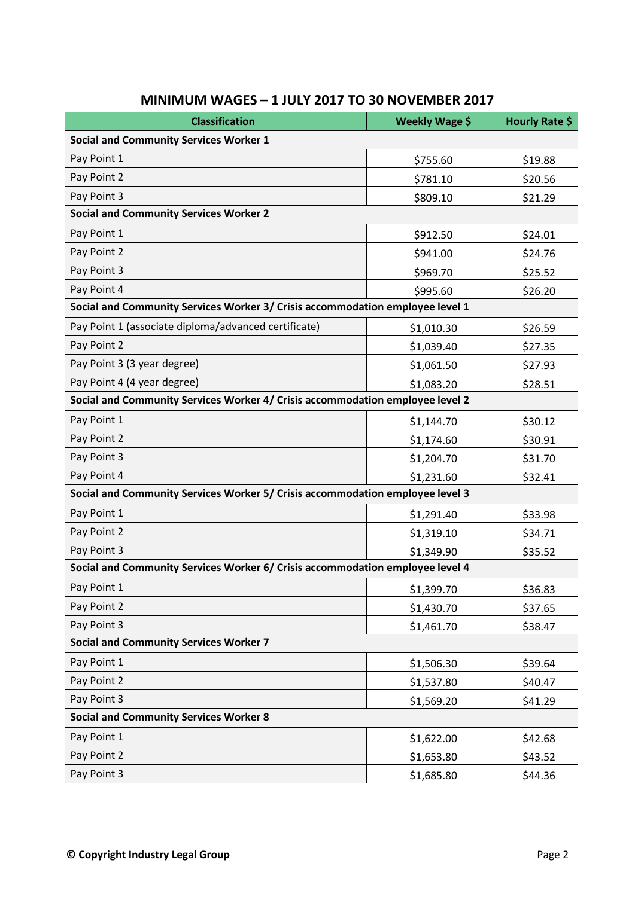| <b>Classification</b>                                                         | Weekly Wage \$ | Hourly Rate \$ |  |  |  |
|-------------------------------------------------------------------------------|----------------|----------------|--|--|--|
| <b>Social and Community Services Worker 1</b>                                 |                |                |  |  |  |
| Pay Point 1                                                                   | \$755.60       | \$19.88        |  |  |  |
| Pay Point 2                                                                   | \$781.10       | \$20.56        |  |  |  |
| Pay Point 3                                                                   | \$809.10       | \$21.29        |  |  |  |
| <b>Social and Community Services Worker 2</b>                                 |                |                |  |  |  |
| Pay Point 1                                                                   | \$912.50       | \$24.01        |  |  |  |
| Pay Point 2                                                                   | \$941.00       | \$24.76        |  |  |  |
| Pay Point 3                                                                   | \$969.70       | \$25.52        |  |  |  |
| Pay Point 4                                                                   | \$995.60       | \$26.20        |  |  |  |
| Social and Community Services Worker 3/ Crisis accommodation employee level 1 |                |                |  |  |  |
| Pay Point 1 (associate diploma/advanced certificate)                          | \$1,010.30     | \$26.59        |  |  |  |
| Pay Point 2                                                                   | \$1,039.40     | \$27.35        |  |  |  |
| Pay Point 3 (3 year degree)                                                   | \$1,061.50     | \$27.93        |  |  |  |
| Pay Point 4 (4 year degree)                                                   | \$1,083.20     | \$28.51        |  |  |  |
| Social and Community Services Worker 4/ Crisis accommodation employee level 2 |                |                |  |  |  |
| Pay Point 1                                                                   | \$1,144.70     | \$30.12        |  |  |  |
| Pay Point 2                                                                   | \$1,174.60     | \$30.91        |  |  |  |
| Pay Point 3                                                                   | \$1,204.70     | \$31.70        |  |  |  |
| Pay Point 4                                                                   | \$1,231.60     | \$32.41        |  |  |  |
| Social and Community Services Worker 5/ Crisis accommodation employee level 3 |                |                |  |  |  |
| Pay Point 1                                                                   | \$1,291.40     | \$33.98        |  |  |  |
| Pay Point 2                                                                   | \$1,319.10     | \$34.71        |  |  |  |
| Pay Point 3                                                                   | \$1,349.90     | \$35.52        |  |  |  |
| Social and Community Services Worker 6/ Crisis accommodation employee level 4 |                |                |  |  |  |
| Pay Point 1                                                                   | \$1,399.70     | \$36.83        |  |  |  |
| Pay Point 2                                                                   | \$1,430.70     | \$37.65        |  |  |  |
| Pay Point 3                                                                   | \$1,461.70     | \$38.47        |  |  |  |
| <b>Social and Community Services Worker 7</b>                                 |                |                |  |  |  |
| Pay Point 1                                                                   | \$1,506.30     | \$39.64        |  |  |  |
| Pay Point 2                                                                   | \$1,537.80     | \$40.47        |  |  |  |
| Pay Point 3                                                                   | \$1,569.20     | \$41.29        |  |  |  |
| <b>Social and Community Services Worker 8</b>                                 |                |                |  |  |  |
| Pay Point 1                                                                   | \$1,622.00     | \$42.68        |  |  |  |
| Pay Point 2                                                                   | \$1,653.80     | \$43.52        |  |  |  |
| Pay Point 3                                                                   | \$1,685.80     | \$44.36        |  |  |  |

# **MINIMUM WAGES – 1 JULY 2017 TO 30 NOVEMBER 2017**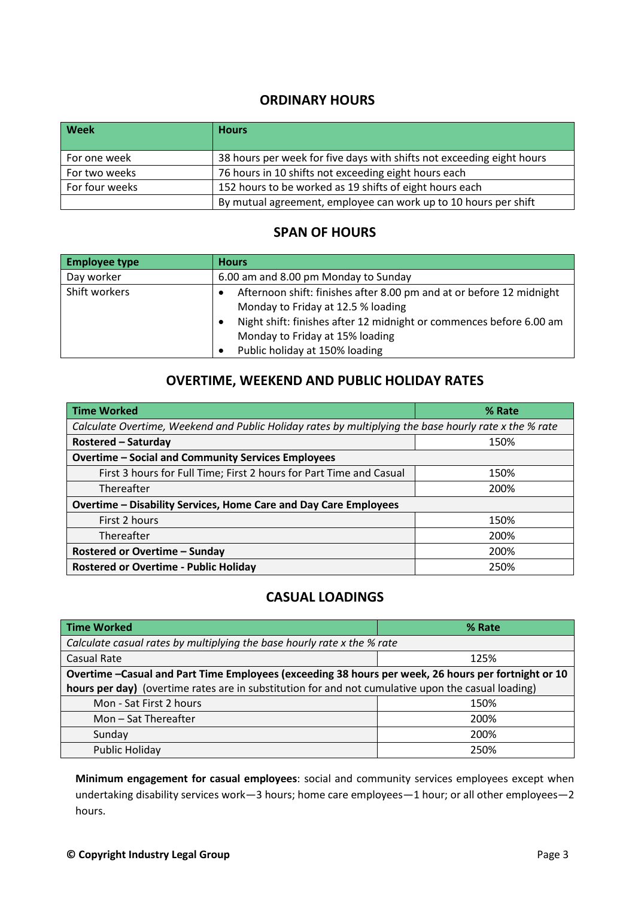#### **ORDINARY HOURS**

| <b>Week</b>    | <b>Hours</b>                                                          |
|----------------|-----------------------------------------------------------------------|
| For one week   | 38 hours per week for five days with shifts not exceeding eight hours |
| For two weeks  | 76 hours in 10 shifts not exceeding eight hours each                  |
| For four weeks | 152 hours to be worked as 19 shifts of eight hours each               |
|                | By mutual agreement, employee can work up to 10 hours per shift       |

#### **SPAN OF HOURS**

| <b>Employee type</b> | <b>Hours</b>                                                                                                                                                                      |
|----------------------|-----------------------------------------------------------------------------------------------------------------------------------------------------------------------------------|
| Day worker           | 6.00 am and 8.00 pm Monday to Sunday                                                                                                                                              |
| Shift workers        | Afternoon shift: finishes after 8.00 pm and at or before 12 midnight<br>Monday to Friday at 12.5 % loading<br>Night shift: finishes after 12 midnight or commences before 6.00 am |
|                      | Monday to Friday at 15% loading<br>Public holiday at 150% loading                                                                                                                 |

## **OVERTIME, WEEKEND AND PUBLIC HOLIDAY RATES**

| <b>Time Worked</b>                                                                                    | % Rate |  |  |  |
|-------------------------------------------------------------------------------------------------------|--------|--|--|--|
| Calculate Overtime, Weekend and Public Holiday rates by multiplying the base hourly rate x the % rate |        |  |  |  |
| <b>Rostered - Saturday</b>                                                                            | 150%   |  |  |  |
| <b>Overtime - Social and Community Services Employees</b>                                             |        |  |  |  |
| First 3 hours for Full Time; First 2 hours for Part Time and Casual                                   | 150%   |  |  |  |
| Thereafter                                                                                            | 200%   |  |  |  |
| Overtime - Disability Services, Home Care and Day Care Employees                                      |        |  |  |  |
| First 2 hours                                                                                         | 150%   |  |  |  |
| Thereafter                                                                                            | 200%   |  |  |  |
| <b>Rostered or Overtime - Sunday</b>                                                                  | 200%   |  |  |  |
| <b>Rostered or Overtime - Public Holiday</b>                                                          | 250%   |  |  |  |

#### **CASUAL LOADINGS**

| <b>Time Worked</b>                                                                                  | % Rate |  |  |
|-----------------------------------------------------------------------------------------------------|--------|--|--|
| Calculate casual rates by multiplying the base hourly rate x the % rate                             |        |  |  |
| Casual Rate                                                                                         | 125%   |  |  |
| Overtime -Casual and Part Time Employees (exceeding 38 hours per week, 26 hours per fortnight or 10 |        |  |  |
| hours per day) (overtime rates are in substitution for and not cumulative upon the casual loading)  |        |  |  |
| Mon - Sat First 2 hours                                                                             | 150%   |  |  |
| Mon-Sat Thereafter                                                                                  | 200%   |  |  |
| Sunday                                                                                              | 200%   |  |  |
| <b>Public Holiday</b>                                                                               | 250%   |  |  |

**Minimum engagement for casual employees**: social and community services employees except when undertaking disability services work—3 hours; home care employees—1 hour; or all other employees—2 hours.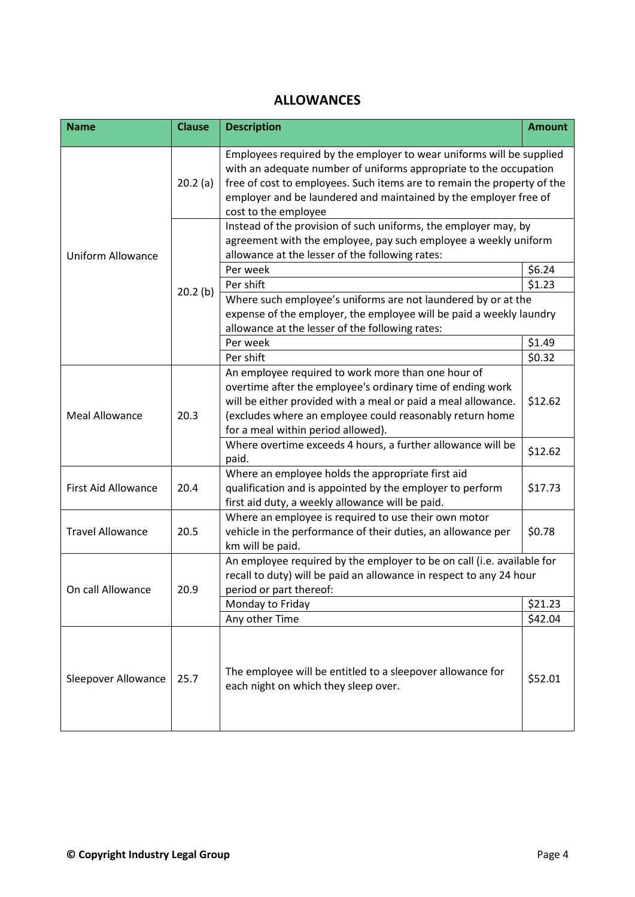## **ALLOWANCES**

| <b>Name</b>                | <b>Clause</b> | <b>Description</b>                                                                                                                                                                                                                                                                                               | <b>Amount</b> |
|----------------------------|---------------|------------------------------------------------------------------------------------------------------------------------------------------------------------------------------------------------------------------------------------------------------------------------------------------------------------------|---------------|
|                            | 20.2(a)       | Employees required by the employer to wear uniforms will be supplied<br>with an adequate number of uniforms appropriate to the occupation<br>free of cost to employees. Such items are to remain the property of the<br>employer and be laundered and maintained by the employer free of<br>cost to the employee |               |
| <b>Uniform Allowance</b>   | 20.2(b)       | Instead of the provision of such uniforms, the employer may, by<br>agreement with the employee, pay such employee a weekly uniform<br>allowance at the lesser of the following rates:                                                                                                                            |               |
|                            |               | Per week                                                                                                                                                                                                                                                                                                         | \$6.24        |
|                            |               | Per shift                                                                                                                                                                                                                                                                                                        | \$1.23        |
|                            |               | Where such employee's uniforms are not laundered by or at the<br>expense of the employer, the employee will be paid a weekly laundry<br>allowance at the lesser of the following rates:                                                                                                                          |               |
|                            |               | Per week                                                                                                                                                                                                                                                                                                         | \$1.49        |
|                            |               | Per shift                                                                                                                                                                                                                                                                                                        | \$0.32        |
| <b>Meal Allowance</b>      | 20.3          | An employee required to work more than one hour of<br>overtime after the employee's ordinary time of ending work<br>will be either provided with a meal or paid a meal allowance.<br>(excludes where an employee could reasonably return home<br>for a meal within period allowed).                              | \$12.62       |
|                            |               | Where overtime exceeds 4 hours, a further allowance will be<br>paid.                                                                                                                                                                                                                                             | \$12.62       |
| <b>First Aid Allowance</b> | 20.4          | Where an employee holds the appropriate first aid<br>qualification and is appointed by the employer to perform<br>first aid duty, a weekly allowance will be paid.                                                                                                                                               | \$17.73       |
| <b>Travel Allowance</b>    | 20.5          | Where an employee is required to use their own motor<br>vehicle in the performance of their duties, an allowance per<br>km will be paid.                                                                                                                                                                         | \$0.78        |
| 20.9<br>On call Allowance  |               | An employee required by the employer to be on call (i.e. available for<br>recall to duty) will be paid an allowance in respect to any 24 hour<br>period or part thereof:                                                                                                                                         |               |
|                            |               | Monday to Friday                                                                                                                                                                                                                                                                                                 | \$21.23       |
|                            |               | Any other Time                                                                                                                                                                                                                                                                                                   | \$42.04       |
| Sleepover Allowance        | 25.7          | The employee will be entitled to a sleepover allowance for<br>each night on which they sleep over.                                                                                                                                                                                                               | \$52.01       |